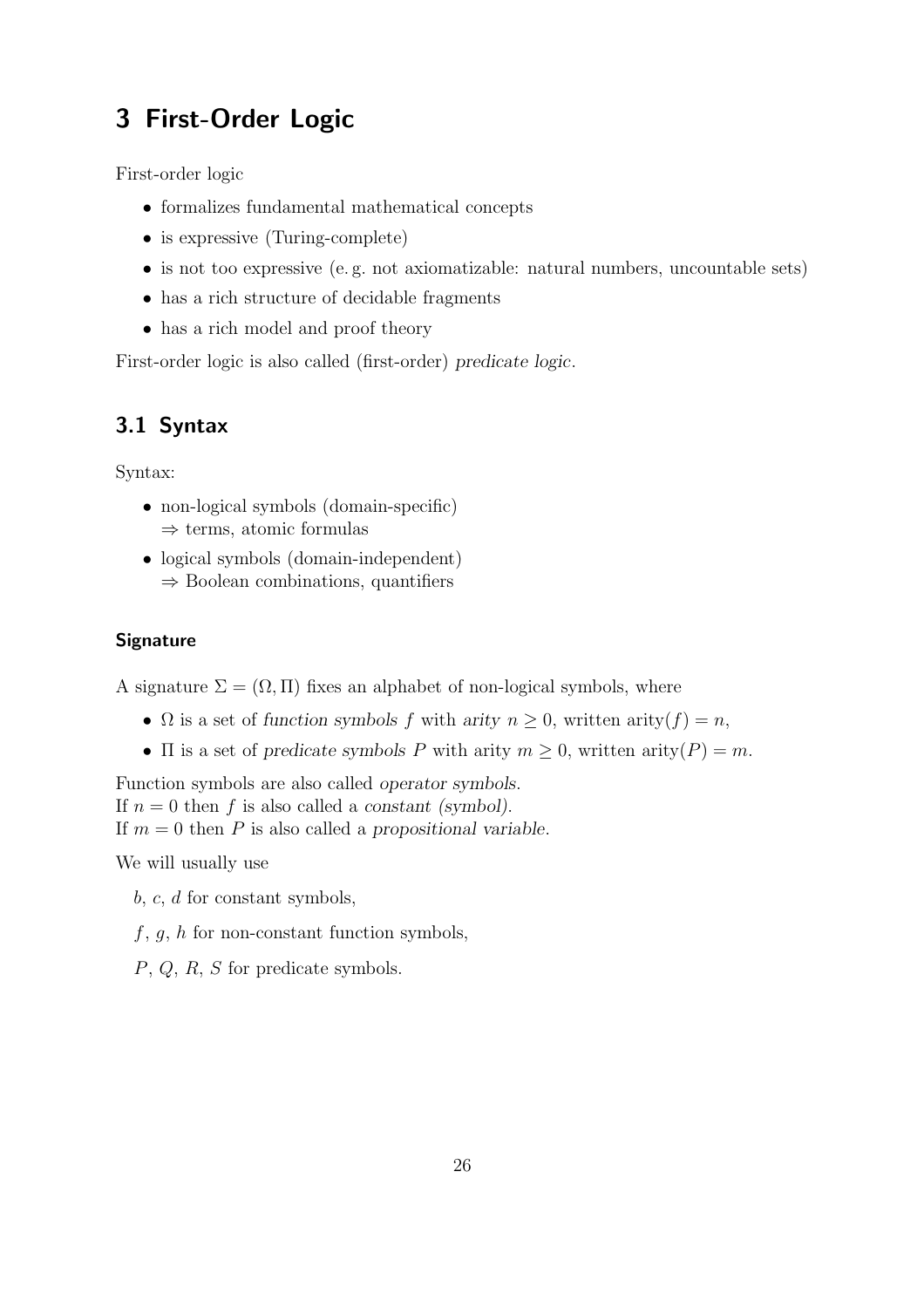# 3 First-Order Logic

First-order logic

- formalizes fundamental mathematical concepts
- is expressive (Turing-complete)
- is not too expressive (e. g. not axiomatizable: natural numbers, uncountable sets)
- has a rich structure of decidable fragments
- has a rich model and proof theory

First-order logic is also called (first-order) *predicate logic*.

## 3.1 Syntax

Syntax:

- non-logical symbols (domain-specific)  $\Rightarrow$  terms, atomic formulas
- logical symbols (domain-independent)  $\Rightarrow$  Boolean combinations, quantifiers

### **Signature**

A signature  $\Sigma = (\Omega, \Pi)$  fixes an alphabet of non-logical symbols, where

- $\Omega$  is a set of *function symbols* f with *arity*  $n \geq 0$ , written  $\text{arity}(f) = n$ ,
- $\Pi$  is a set of *predicate symbols* P with arity  $m \geq 0$ , written arity  $(P) = m$ .

Function symbols are also called *operator symbols*. If  $n = 0$  then f is also called a *constant (symbol)*. If m = 0 then P is also called a *propositional variable*.

We will usually use

b, c, d for constant symbols,

 $f, g, h$  for non-constant function symbols,

P, Q, R, S for predicate symbols.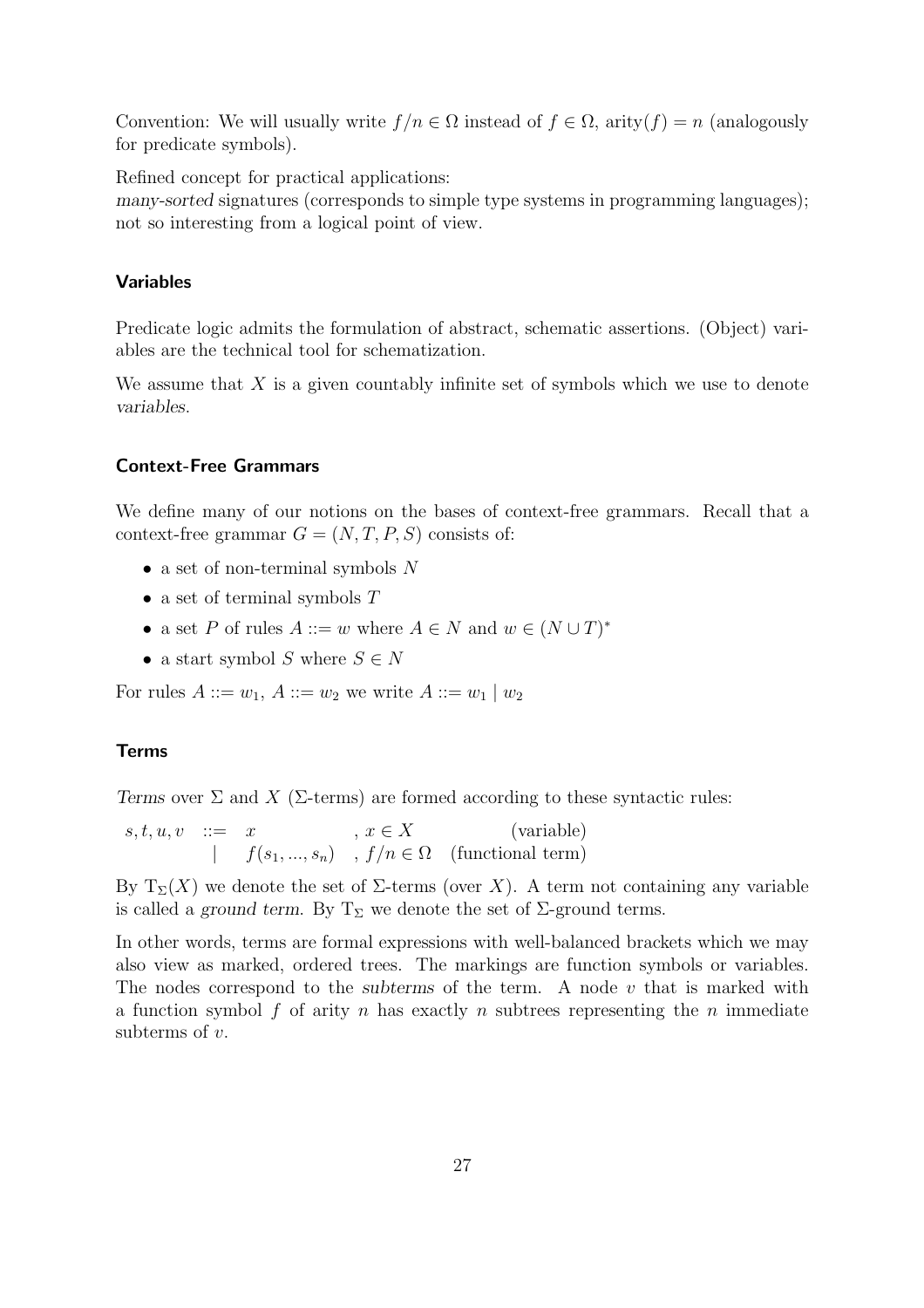Convention: We will usually write  $f/n \in \Omega$  instead of  $f \in \Omega$ , arity $(f) = n$  (analogously for predicate symbols).

Refined concept for practical applications:

*many-sorted* signatures (corresponds to simple type systems in programming languages); not so interesting from a logical point of view.

#### Variables

Predicate logic admits the formulation of abstract, schematic assertions. (Object) variables are the technical tool for schematization.

We assume that  $X$  is a given countably infinite set of symbols which we use to denote *variables*.

#### Context-Free Grammars

We define many of our notions on the bases of context-free grammars. Recall that a context-free grammar  $G = (N, T, P, S)$  consists of:

- a set of non-terminal symbols  $N$
- a set of terminal symbols  $T$
- a set P of rules  $A ::= w$  where  $A \in N$  and  $w \in (N \cup T)^*$
- a start symbol S where  $S \in N$

For rules  $A ::= w_1, A ::= w_2$  we write  $A ::= w_1 | w_2$ 

#### Terms

*Terms* over  $\Sigma$  and  $X$  ( $\Sigma$ -terms) are formed according to these syntactic rules:

 $s, t, u, v \quad ::= \quad x \qquad , \ x \in X \qquad \qquad \text{(variable)}$  $| f(s_1, ..., s_n) , f/n \in \Omega$  (functional term)

By  $T_{\Sigma}(X)$  we denote the set of  $\Sigma$ -terms (over X). A term not containing any variable is called a *ground term*. By  $T_{\Sigma}$  we denote the set of  $\Sigma$ -ground terms.

In other words, terms are formal expressions with well-balanced brackets which we may also view as marked, ordered trees. The markings are function symbols or variables. The nodes correspond to the *subterms* of the term. A node v that is marked with a function symbol  $f$  of arity  $n$  has exactly  $n$  subtrees representing the  $n$  immediate subterms of  $v$ .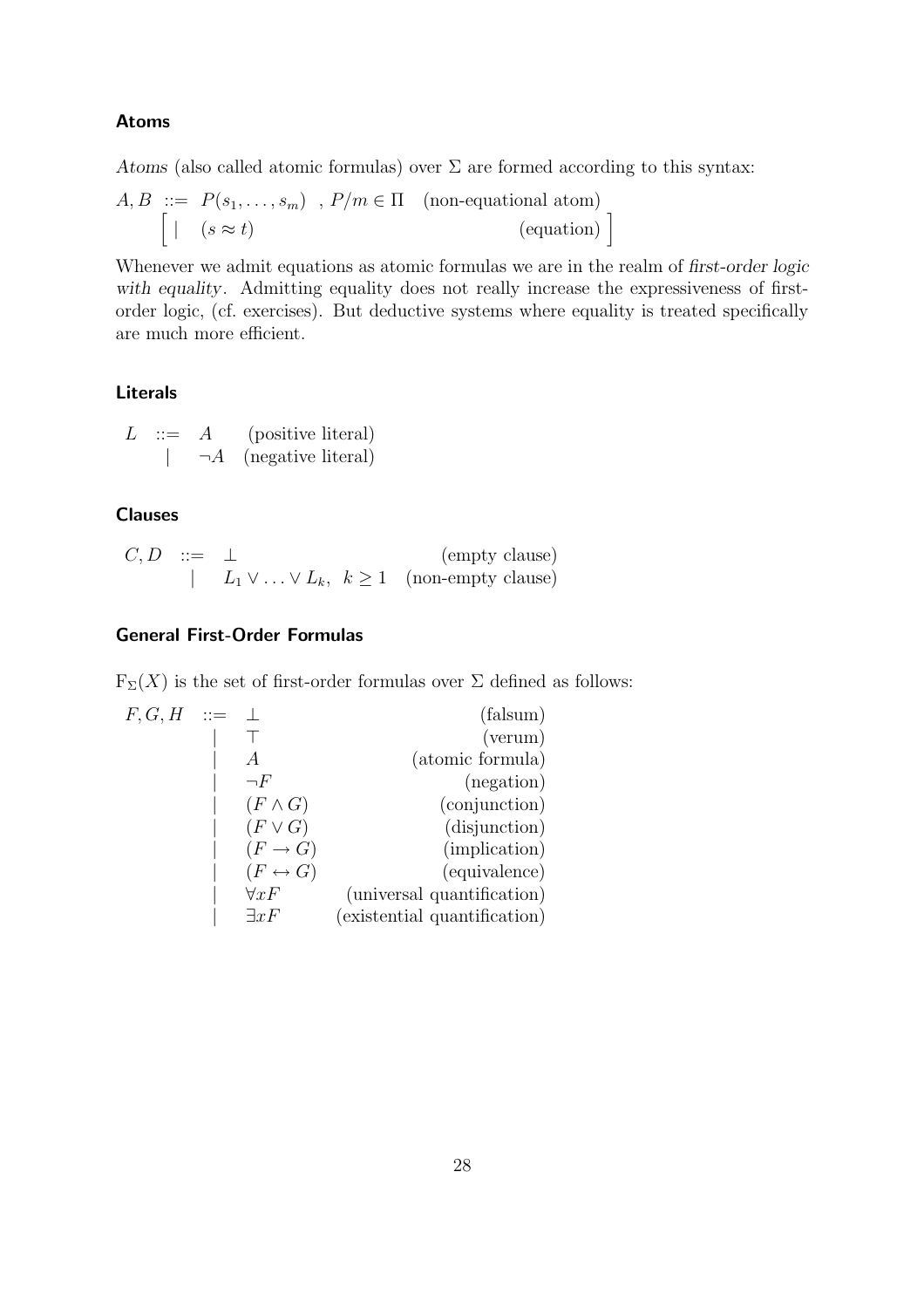#### Atoms

*Atoms* (also called atomic formulas) over  $\Sigma$  are formed according to this syntax:

$$
A, B ::= P(s_1, \dots, s_m) , P/m \in \Pi \quad \text{(non-equational atom)}
$$

$$
\begin{bmatrix} | & (s \approx t) \end{bmatrix} \quad \text{(equation)}
$$

Whenever we admit equations as atomic formulas we are in the realm of *first-order logic* with equality. Admitting equality does not really increase the expressiveness of firstorder logic, (cf. exercises). But deductive systems where equality is treated specifically are much more efficient.

#### Literals

L ::= 
$$
A
$$
 (positive literal)  
  $\qquad \qquad | \qquad \neg A$  (negative literal)

#### Clauses

$$
C, D \quad ::= \quad \perp \tag{empty clause} \\ | \quad L_1 \vee \ldots \vee L_k, \ \ k \ge 1 \quad \text{(non-empty clause)}
$$

## General First-Order Formulas

 $F_\Sigma(X)$  is the set of first-order formulas over  $\Sigma$  defined as follows:

| $F, G, H$ | ::=                     | $\bot$                       | (falsum) |
|-----------|-------------------------|------------------------------|----------|
|           | T                       | (verum)                      |          |
|           | $A$                     | (atomic formula)             |          |
|           | $(F \land G)$           | (conjunction)                |          |
|           | $(F \lor G)$            | (disjunction)                |          |
|           | $(F \rightarrow G)$     | (implication)                |          |
|           | $(F \leftrightarrow G)$ | (equivalence)                |          |
|           | $\forall xF$            | (universal quantification)   |          |
|           | $\exists xF$            | (existential quantification) |          |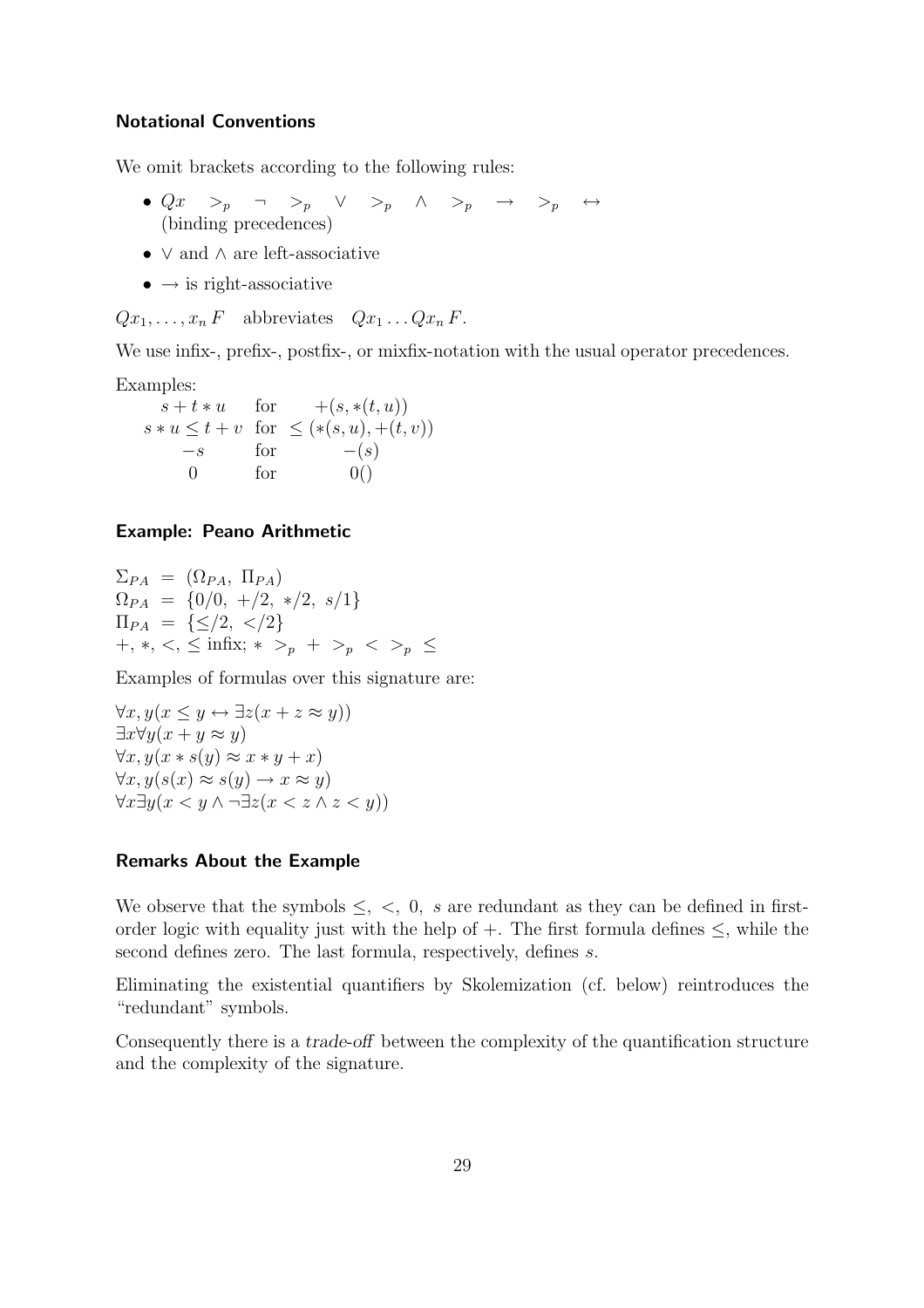#### Notational Conventions

We omit brackets according to the following rules:

- $Qx \geq_p \neg \Rightarrow_p \vee \Rightarrow_p \wedge \Rightarrow_p \rightarrow \Rightarrow_p \leftrightarrow$ (binding precedences)
- ∨ and ∧ are left-associative
- $\bullet \rightarrow \text{is right-associative}$

 $Qx_1, \ldots, x_n F$  abbreviates  $Qx_1 \ldots Qx_n F$ .

We use infix-, prefix-, postfix-, or mixfix-notation with the usual operator precedences.

Examples:

 $s + t * u$  for  $+(s, * (t, u))$  $s * u \leq t + v$  for  $\leq (* (s, u), +(t, v))$  $-s$  for  $-(s)$  $0 \quad \text{for} \quad 0()$ 

#### Example: Peano Arithmetic

 $\Sigma_{PA} = (\Omega_{PA}, \Pi_{PA})$  $\Omega_{PA} = \{0/0, +/2, *,/2, s/1\}$  $\Pi_{PA} = \{\leq/2, \langle/2\rangle\}$ +, \*, <, ≤ infix; \* ><sub>p</sub> + ><sub>p</sub> < ><sub>p</sub> ≤

Examples of formulas over this signature are:

 $\forall x, y(x \leq y \leftrightarrow \exists z(x + z \approx y))$  $\exists x \forall y (x + y \approx y)$  $\forall x, y(x * s(y) \approx x * y + x)$  $\forall x, y(s(x) \approx s(y) \rightarrow x \approx y)$  $\forall x \exists y (x \leq y \land \neg \exists z (x \leq z \land z \leq y))$ 

#### Remarks About the Example

We observe that the symbols  $\leq, \leq, 0, s$  are redundant as they can be defined in firstorder logic with equality just with the help of +. The first formula defines  $\leq$ , while the second defines zero. The last formula, respectively, defines s.

Eliminating the existential quantifiers by Skolemization (cf. below) reintroduces the "redundant" symbols.

Consequently there is a *trade-off* between the complexity of the quantification structure and the complexity of the signature.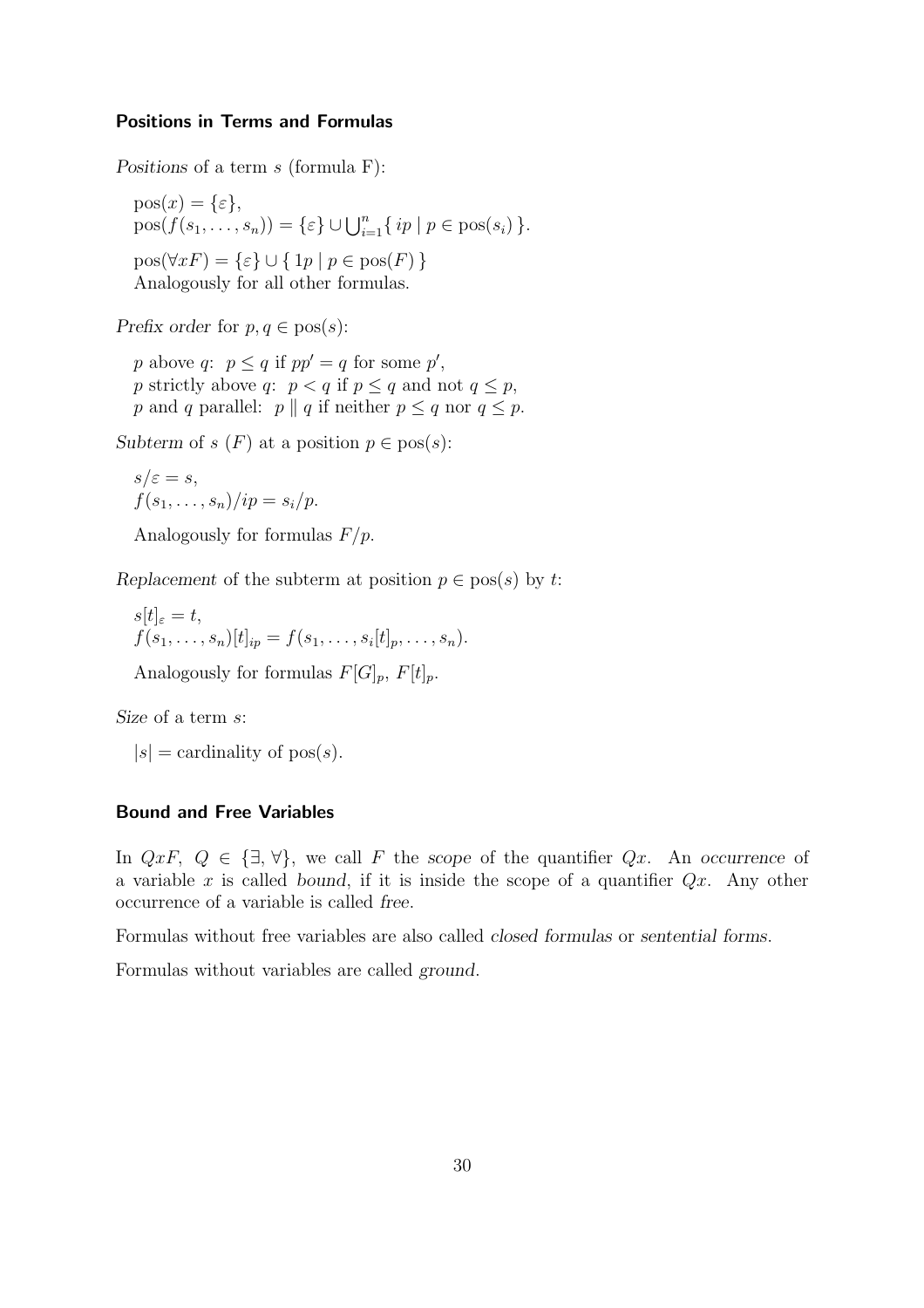#### Positions in Terms and Formulas

*Positions* of a term s (formula F):

 $pos(x) = {\varepsilon},$  $pos(f(s_1,...,s_n)) = \{\varepsilon\} \cup \bigcup_{i=1}^n \{\, ip \mid p \in pos(s_i)\,\}.$  $pos(\forall x F) = \{\varepsilon\} \cup \{ 1p \mid p \in pos(F) \}$ Analogously for all other formulas.

*Prefix order* for  $p, q \in \text{pos}(s)$ :

p above q:  $p \leq q$  if  $pp' = q$  for some  $p'$ , p strictly above q:  $p < q$  if  $p \le q$  and not  $q \le p$ , p and q parallel: p || q if neither  $p \leq q$  nor  $q \leq p$ .

*Subterm* of  $s(F)$  at a position  $p \in \text{pos}(s)$ :

$$
s/\varepsilon = s,
$$
  
 
$$
f(s_1, \ldots, s_n)/ip = s_i/p.
$$

Analogously for formulas  $F/p$ .

*Replacement* of the subterm at position  $p \in \text{pos}(s)$  by t:

 $s[t]_{\varepsilon}=t,$  $f(s_1, \ldots, s_n)[t]_{ip} = f(s_1, \ldots, s_i[t]_p, \ldots, s_n).$ 

Analogously for formulas  $F[G]_p$ ,  $F[t]_p$ .

*Size* of a term s:

 $|s|$  = cardinality of pos(s).

#### Bound and Free Variables

In  $QxF$ ,  $Q \in {\exists, \forall}$ , we call F the *scope* of the quantifier  $Qx$ . An *occurrence* of a variable x is called *bound*, if it is inside the scope of a quantifier Qx. Any other occurrence of a variable is called *free*.

Formulas without free variables are also called *closed formulas* or *sentential forms*.

Formulas without variables are called *ground*.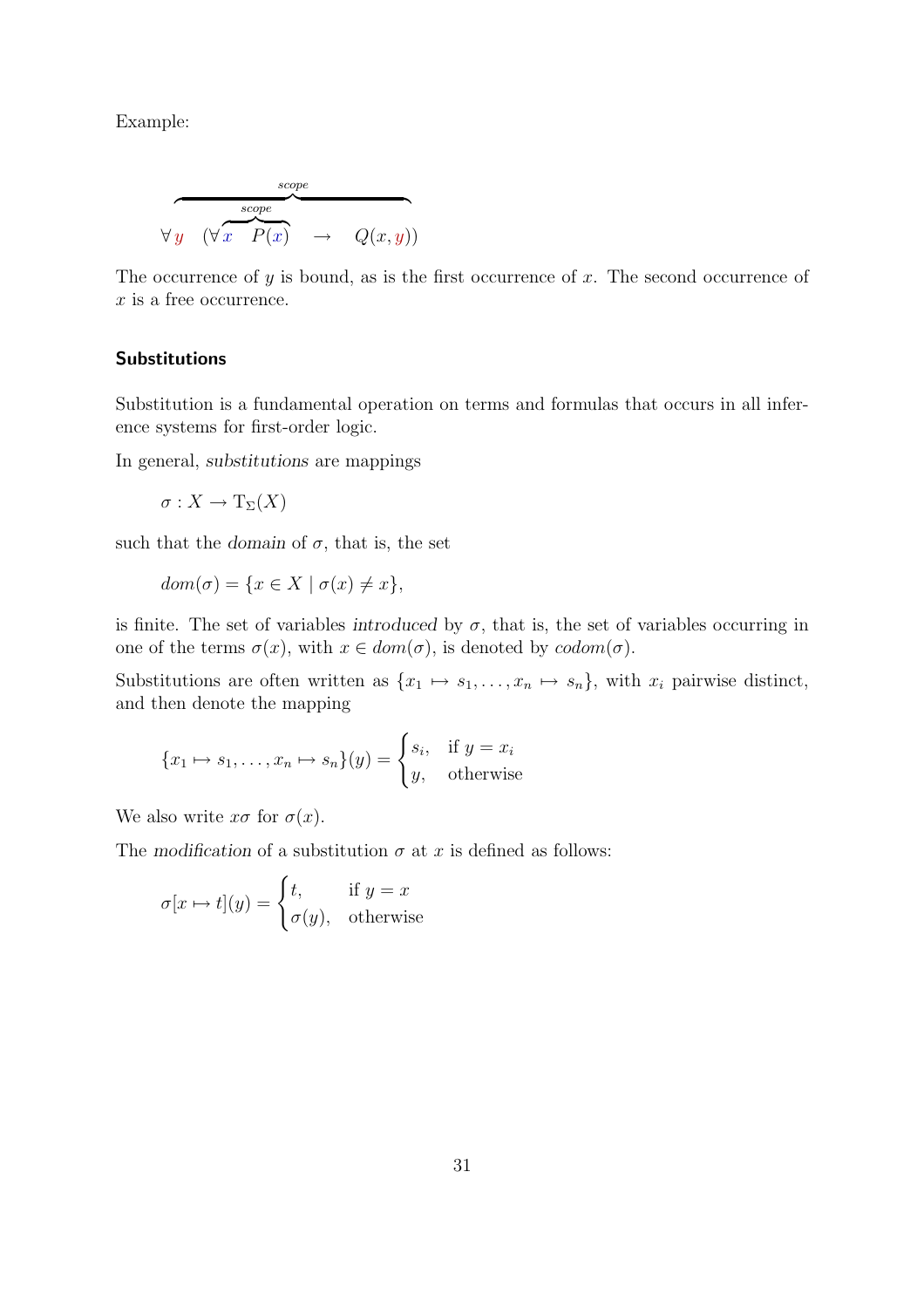Example:

$$
\begin{array}{c}\n\text{scope} \\
\hline\n\forall y \quad (\forall x \quad P(x) \quad \rightarrow \quad Q(x, y))\n\end{array}
$$

The occurrence of  $y$  is bound, as is the first occurrence of  $x$ . The second occurrence of  $x$  is a free occurrence.

#### Substitutions

Substitution is a fundamental operation on terms and formulas that occurs in all inference systems for first-order logic.

In general, *substitutions* are mappings

 $\sigma: X \to T_{\Sigma}(X)$ 

such that the *domain* of  $\sigma$ , that is, the set

$$
dom(\sigma) = \{ x \in X \mid \sigma(x) \neq x \},\
$$

is finite. The set of variables *introduced* by  $\sigma$ , that is, the set of variables occurring in one of the terms  $\sigma(x)$ , with  $x \in dom(\sigma)$ , is denoted by  $codom(\sigma)$ .

Substitutions are often written as  $\{x_1 \mapsto s_1, \ldots, x_n \mapsto s_n\}$ , with  $x_i$  pairwise distinct, and then denote the mapping

$$
\{x_1 \mapsto s_1, \dots, x_n \mapsto s_n\}(y) = \begin{cases} s_i, & \text{if } y = x_i \\ y, & \text{otherwise} \end{cases}
$$

We also write  $x\sigma$  for  $\sigma(x)$ .

The *modification* of a substitution  $\sigma$  at x is defined as follows:

$$
\sigma[x \mapsto t](y) = \begin{cases} t, & \text{if } y = x \\ \sigma(y), & \text{otherwise} \end{cases}
$$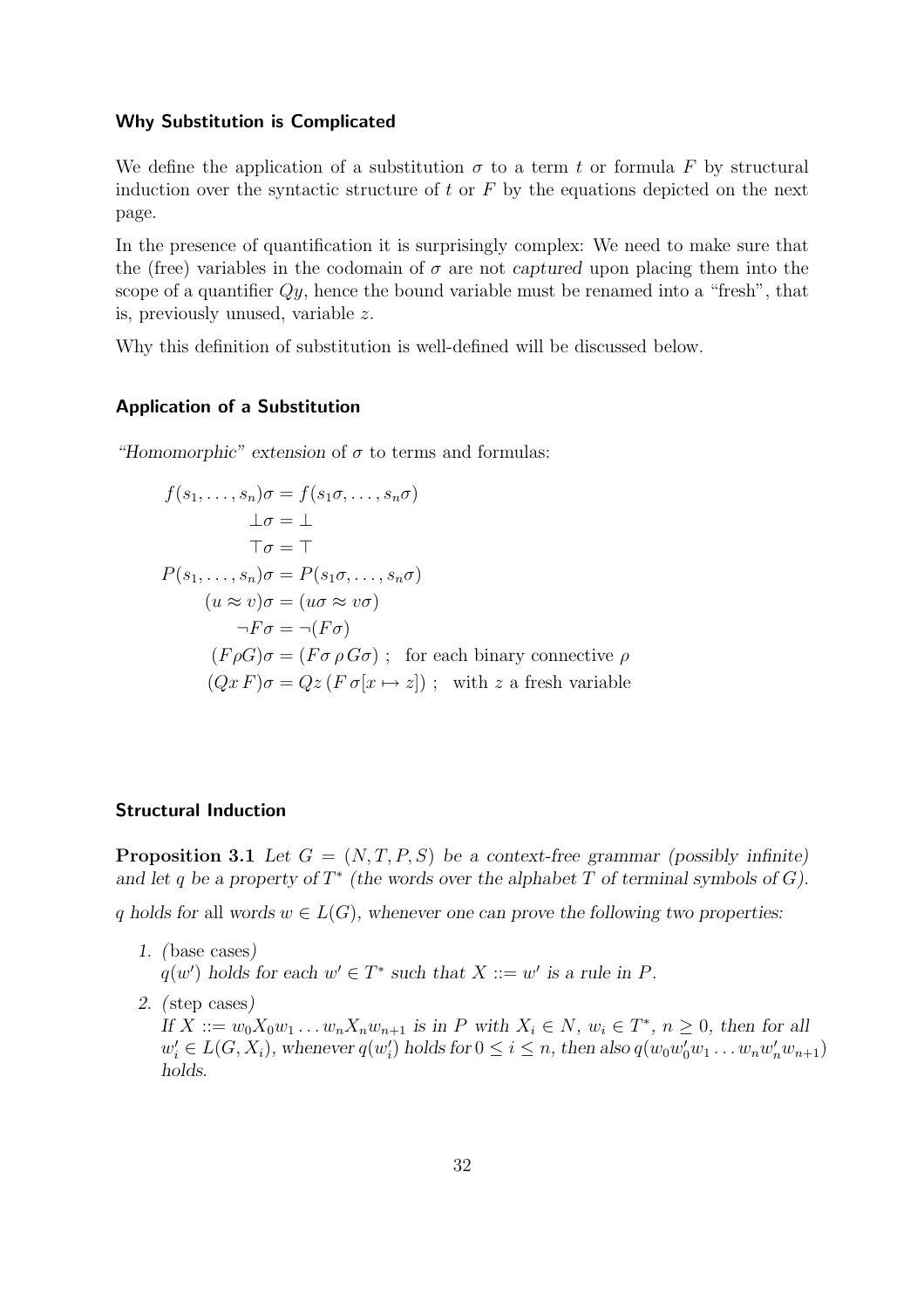#### Why Substitution is Complicated

We define the application of a substitution  $\sigma$  to a term t or formula F by structural induction over the syntactic structure of  $t$  or  $F$  by the equations depicted on the next page.

In the presence of quantification it is surprisingly complex: We need to make sure that the (free) variables in the codomain of  $\sigma$  are not *captured* upon placing them into the scope of a quantifier  $Qy$ , hence the bound variable must be renamed into a "fresh", that is, previously unused, variable z.

Why this definition of substitution is well-defined will be discussed below.

#### Application of a Substitution

*"Homomorphic" extension* of  $\sigma$  to terms and formulas:

$$
f(s_1, \ldots, s_n)\sigma = f(s_1\sigma, \ldots, s_n\sigma)
$$
  
\n
$$
\bot \sigma = \bot
$$
  
\n
$$
\top \sigma = \top
$$
  
\n
$$
P(s_1, \ldots, s_n)\sigma = P(s_1\sigma, \ldots, s_n\sigma)
$$
  
\n
$$
(u \approx v)\sigma = (u\sigma \approx v\sigma)
$$
  
\n
$$
\neg F\sigma = \neg(F\sigma)
$$
  
\n
$$
(F\rho G)\sigma = (F\sigma \rho G\sigma) ; \text{ for each binary connective } \rho
$$
  
\n
$$
(Qx F)\sigma = Qz (F \sigma[x \mapsto z]) ; \text{ with } z \text{ a fresh variable}
$$

#### Structural Induction

**Proposition 3.1** *Let*  $G = (N, T, P, S)$  *be a context-free grammar (possibly infinite)* and let q be a property of  $T^*$  (the words over the alphabet  $T$  of terminal symbols of  $G$ ).

q holds for all words  $w \in L(G)$ , whenever one can prove the following two properties:

- *1. (*base cases*)*  $q(w')$  holds for each  $w' \in T^*$  such that  $X ::= w'$  is a rule in  $P$ .
- *2. (*step cases*) If*  $X := w_0 X_0 w_1 ... w_n X_n w_{n+1}$  *is in P with*  $X_i \in N$ *,*  $w_i \in T^*$ *,*  $n \ge 0$ *, then for all*  $w'_i \in L(G, X_i)$ , whenever  $q(w'_i)$  $a'_i$ ) holds for  $0 \le i \le n$ , then also  $q(w_0w'_0w_1 \dots w_nw'_nw_{n+1})$ *holds.*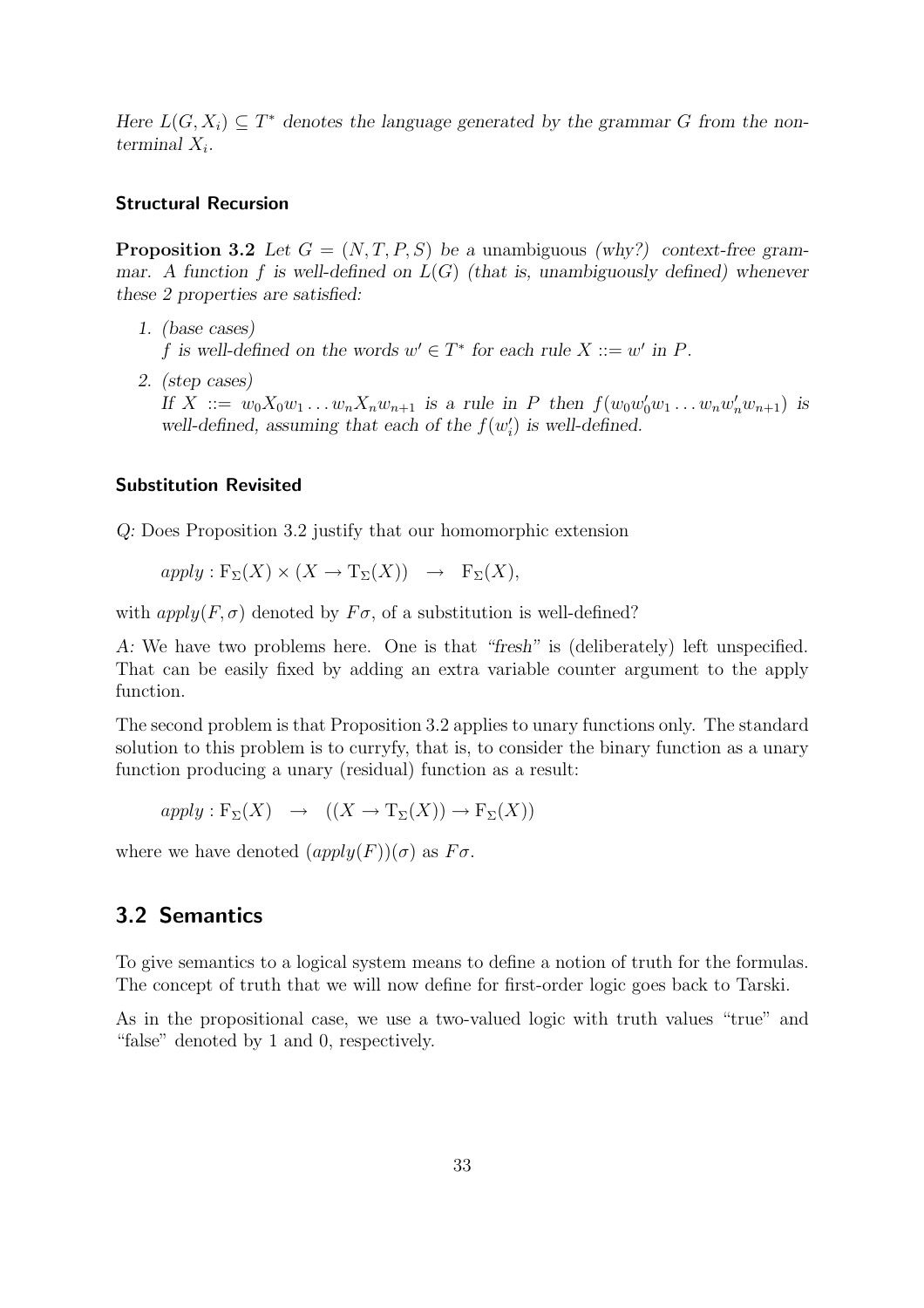*Here*  $L(G, X_i) \subseteq T^*$  *denotes the language generated by the grammar G from the non*terminal  $X_i$ .

#### Structural Recursion

**Proposition 3.2** Let  $G = (N, T, P, S)$  be a unambiguous *(why?)* context-free gram*mar. A function* f *is well-defined on* L(G) *(that is, unambiguously defined) whenever these 2 properties are satisfied:*

- *1. (base cases)* f is well-defined on the words  $w' \in T^*$  for each rule  $X ::= w'$  in  $P$ .
- *2. (step cases) If*  $X := w_0 X_0 w_1 ... w_n X_n w_{n+1}$  *is a rule in P then*  $f(w_0 w'_0 w_1 ... w_n w'_n w_{n+1})$  *is* well-defined, assuming that each of the  $f(w_i)$ i ) *is well-defined.*

#### Substitution Revisited

*Q:* Does Proposition 3.2 justify that our homomorphic extension

$$
apply: \mathcal{F}_{\Sigma}(X) \times (X \to \mathcal{T}_{\Sigma}(X)) \to \mathcal{F}_{\Sigma}(X),
$$

with  $apply(F, \sigma)$  denoted by  $F\sigma$ , of a substitution is well-defined?

*A:* We have two problems here. One is that *"fresh"* is (deliberately) left unspecified. That can be easily fixed by adding an extra variable counter argument to the apply function.

The second problem is that Proposition 3.2 applies to unary functions only. The standard solution to this problem is to curryfy, that is, to consider the binary function as a unary function producing a unary (residual) function as a result:

$$
apply: \mathcal{F}_{\Sigma}(X) \rightarrow ((X \to \mathcal{T}_{\Sigma}(X)) \to \mathcal{F}_{\Sigma}(X))
$$

where we have denoted  $(\alpha pply(F))(\sigma)$  as  $F\sigma$ .

## 3.2 Semantics

To give semantics to a logical system means to define a notion of truth for the formulas. The concept of truth that we will now define for first-order logic goes back to Tarski.

As in the propositional case, we use a two-valued logic with truth values "true" and "false" denoted by 1 and 0, respectively.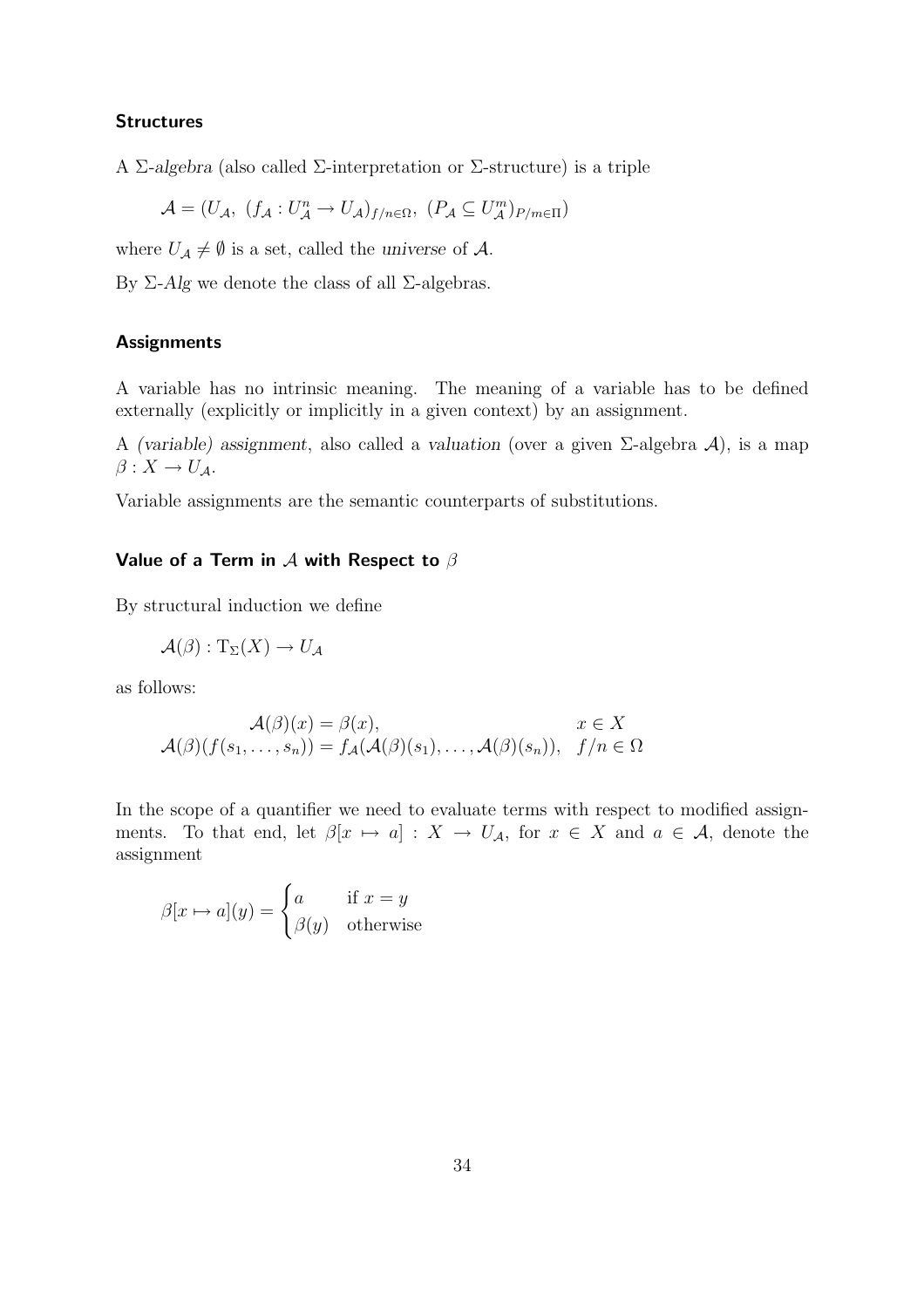#### **Structures**

A Σ*-algebra* (also called Σ-interpretation or Σ-structure) is a triple

$$
\mathcal{A} = (U_{\mathcal{A}}, (f_{\mathcal{A}} : U_{\mathcal{A}}^{n} \to U_{\mathcal{A}})_{f/n \in \Omega}, (P_{\mathcal{A}} \subseteq U_{\mathcal{A}}^{m})_{P/m \in \Pi})
$$

where  $U_A \neq \emptyset$  is a set, called the *universe* of A.

By Σ*-Alg* we denote the class of all Σ-algebras.

#### **Assignments**

A variable has no intrinsic meaning. The meaning of a variable has to be defined externally (explicitly or implicitly in a given context) by an assignment.

A *(variable) assignment*, also called a *valuation* (over a given Σ-algebra A), is a map  $\beta: X \to U_{\mathcal{A}}.$ 

Variable assignments are the semantic counterparts of substitutions.

#### Value of a Term in  $A$  with Respect to  $\beta$

By structural induction we define

$$
\mathcal{A}(\beta):{\rm T}_{\Sigma}(X)\to U_{\mathcal{A}}
$$

as follows:

$$
\mathcal{A}(\beta)(x) = \beta(x), \qquad x \in X
$$

$$
\mathcal{A}(\beta)(f(s_1, \dots, s_n)) = f_{\mathcal{A}}(\mathcal{A}(\beta)(s_1), \dots, \mathcal{A}(\beta)(s_n)), \quad f/n \in \Omega
$$

In the scope of a quantifier we need to evaluate terms with respect to modified assignments. To that end, let  $\beta[x \mapsto a] : X \to U_{\mathcal{A}}$ , for  $x \in X$  and  $a \in \mathcal{A}$ , denote the assignment

$$
\beta[x \mapsto a](y) = \begin{cases} a & \text{if } x = y \\ \beta(y) & \text{otherwise} \end{cases}
$$